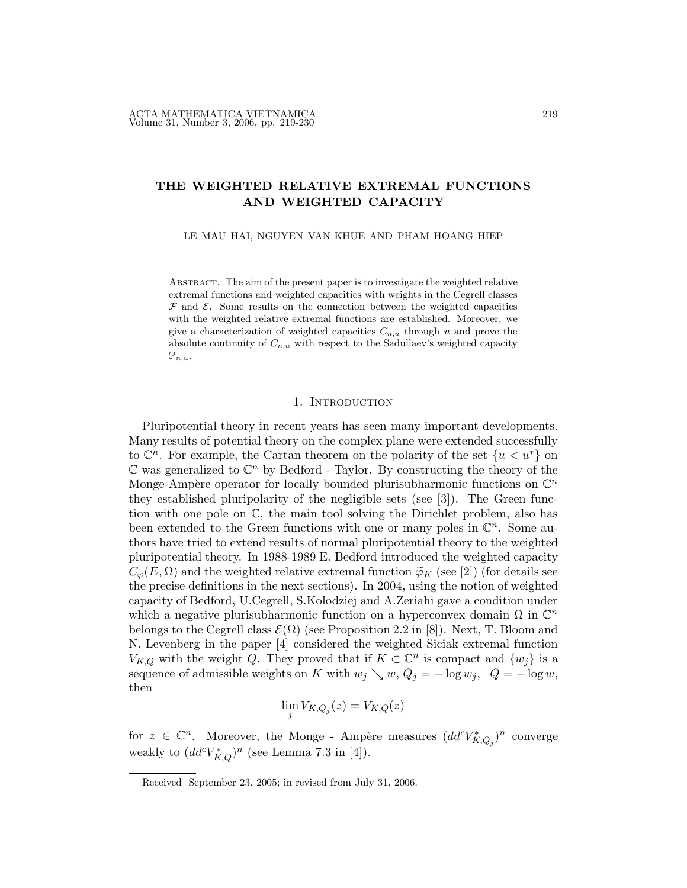# **THE WEIGHTED RELATIVE EXTREMAL FUNCTIONS AND WEIGHTED CAPACITY**

LE MAU HAI, NGUYEN VAN KHUE AND PHAM HOANG HIEP

Abstract. The aim of the present paper is to investigate the weighted relative extremal functions and weighted capacities with weights in the Cegrell classes  $\mathcal F$  and  $\mathcal E$ . Some results on the connection between the weighted capacities with the weighted relative extremal functions are established. Moreover, we give a characterization of weighted capacities  $C_{n,u}$  through u and prove the absolute continuity of  $C_{n,u}$  with respect to the Sadullaev's weighted capacity  $\mathfrak{P}_{n,u}.$ 

#### 1. INTRODUCTION

Pluripotential theory in recent years has seen many important developments. Many results of potential theory on the complex plane were extended successfully to  $\mathbb{C}^n$ . For example, the Cartan theorem on the polarity of the set  $\{u \lt u^*\}$  on  $\mathbb C$  was generalized to  $\mathbb C^n$  by Bedford - Taylor. By constructing the theory of the Monge-Ampère operator for locally bounded plurisubharmonic functions on  $\mathbb{C}^n$ they established pluripolarity of the negligible sets (see [3]). The Green function with one pole on  $\mathbb{C}$ , the main tool solving the Dirichlet problem, also has been extended to the Green functions with one or many poles in  $\mathbb{C}^n$ . Some authors have tried to extend results of normal pluripotential theory to the weighted pluripotential theory. In 1988-1989 E. Bedford introduced the weighted capacity  $C_{\varphi}(E, \Omega)$  and the weighted relative extremal function  $\widetilde{\varphi}_K$  (see [2]) (for details see the precise definitions in the next sections). In 2004, using the notion of weighted capacity of Bedford, U.Cegrell, S.Kolodziej and A.Zeriahi gave a condition under which a negative plurisubharmonic function on a hyperconvex domain  $\Omega$  in  $\mathbb{C}^n$ belongs to the Cegrell class  $\mathcal{E}(\Omega)$  (see Proposition 2.2 in [8]). Next, T. Bloom and N. Levenberg in the paper [4] considered the weighted Siciak extremal function  $V_{K,Q}$  with the weight Q. They proved that if  $K \subset \mathbb{C}^n$  is compact and  $\{w_j\}$  is a sequence of admissible weights on K with  $w_j \searrow w$ ,  $Q_j = -\log w_j$ ,  $Q = -\log w$ , then

$$
\lim_j V_{K,Q_j}(z) = V_{K,Q}(z)
$$

for  $z \in \mathbb{C}^n$ . Moreover, the Monge - Ampère measures  $(dd^cV^*_{K,Q_j})^n$  converge weakly to  $(dd^cV^*_{K,Q})^n$  (see Lemma 7.3 in [4]).

Received September 23, 2005; in revised from July 31, 2006.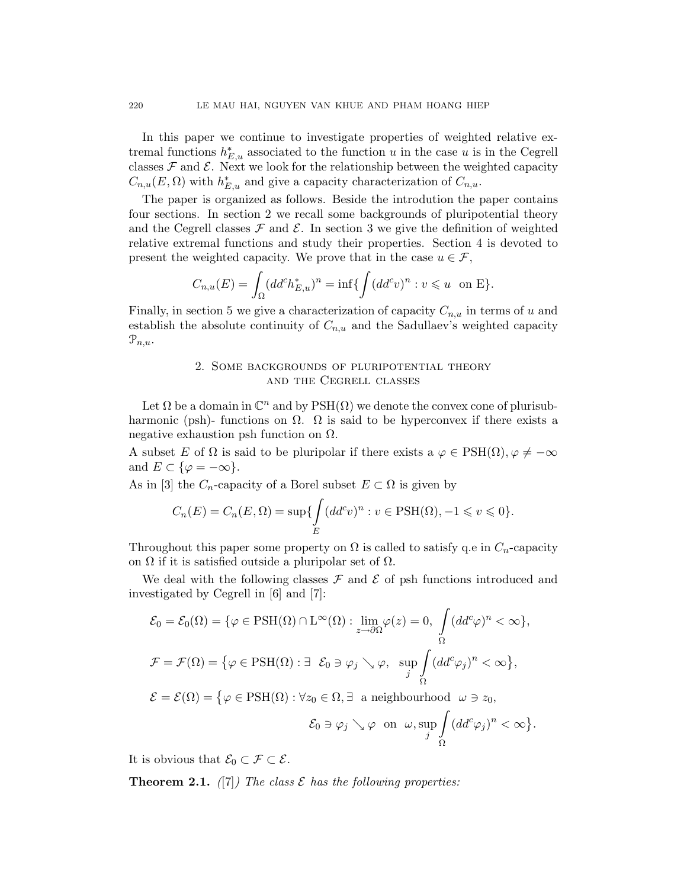In this paper we continue to investigate properties of weighted relative extremal functions  $h_{E,u}^*$  associated to the function u in the case u is in the Cegrell classes  $\mathcal F$  and  $\mathcal E$ . Next we look for the relationship between the weighted capacity  $C_{n,u}(E,\Omega)$  with  $h_{E,u}^*$  and give a capacity characterization of  $C_{n,u}$ .

The paper is organized as follows. Beside the introdution the paper contains four sections. In section 2 we recall some backgrounds of pluripotential theory and the Cegrell classes  $\mathcal F$  and  $\mathcal E$ . In section 3 we give the definition of weighted relative extremal functions and study their properties. Section 4 is devoted to present the weighted capacity. We prove that in the case  $u \in \mathcal{F}$ ,

$$
C_{n,u}(E) = \int_{\Omega} (dd^c h_{E,u}^*)^n = \inf \{ \int (dd^c v)^n : v \leqslant u \text{ on E} \}.
$$

Finally, in section 5 we give a characterization of capacity  $C_{n,u}$  in terms of u and establish the absolute continuity of  $C_{n,u}$  and the Sadullaev's weighted capacity  $\mathcal{P}_{n,u}$ .

## 2. Some backgrounds of pluripotential theory and the Cegrell classes

Let  $\Omega$  be a domain in  $\mathbb{C}^n$  and by  $PSH(\Omega)$  we denote the convex cone of plurisubharmonic (psh)- functions on  $\Omega$ .  $\Omega$  is said to be hyperconvex if there exists a negative exhaustion psh function on  $\Omega$ .

A subset E of  $\Omega$  is said to be pluripolar if there exists a  $\varphi \in \text{PSH}(\Omega)$ ,  $\varphi \neq -\infty$ and  $E \subset {\varphi = -\infty}$ .

As in [3] the  $C_n$ -capacity of a Borel subset  $E \subset \Omega$  is given by

$$
C_n(E) = C_n(E, \Omega) = \sup \{ \int_E (dd^c v)^n : v \in \text{PSH}(\Omega), -1 \leq v \leq 0 \}.
$$

Throughout this paper some property on  $\Omega$  is called to satisfy q.e in  $C_n$ -capacity on  $\Omega$  if it is satisfied outside a pluripolar set of  $\Omega$ .

We deal with the following classes  $\mathcal F$  and  $\mathcal E$  of psh functions introduced and investigated by Cegrell in [6] and [7]:

$$
\mathcal{E}_0 = \mathcal{E}_0(\Omega) = \{ \varphi \in \text{PSH}(\Omega) \cap L^{\infty}(\Omega) : \lim_{z \to \partial \Omega} \varphi(z) = 0, \int_{\Omega} (dd^c \varphi)^n < \infty \},
$$
  

$$
\mathcal{F} = \mathcal{F}(\Omega) = \{ \varphi \in \text{PSH}(\Omega) : \exists \quad \mathcal{E}_0 \ni \varphi_j \searrow \varphi, \quad \sup_j \int_{\Omega} (dd^c \varphi_j)^n < \infty \},
$$
  

$$
\mathcal{E} = \mathcal{E}(\Omega) = \{ \varphi \in \text{PSH}(\Omega) : \forall z_0 \in \Omega, \exists \text{ a neighbourhood } \omega \ni z_0,
$$
  

$$
\mathcal{E}_0 \ni \varphi_j \searrow \varphi \text{ on } \omega, \sup_j \int (dd^c \varphi_j)^n < \infty \}.
$$

Ω

It is obvious that  $\mathcal{E}_0 \subset \mathcal{F} \subset \mathcal{E}$ .

**Theorem 2.1.**  $(|7|)$  The class  $\mathcal E$  has the following properties: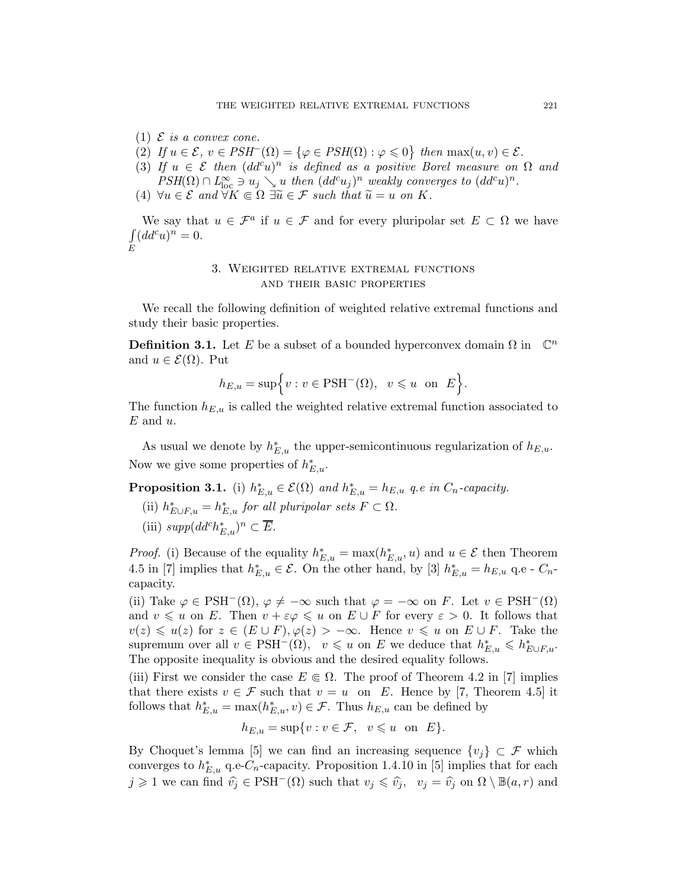- (1)  $\mathcal E$  *is a convex cone.*
- (2) If  $u \in \mathcal{E}$ ,  $v \in PSH^{-}(\Omega) = \{ \varphi \in PSH(\Omega) : \varphi \leq 0 \}$  then  $\max(u, v) \in \mathcal{E}$ .
- (3) If  $u \in \mathcal{E}$  then  $(dd^c u)^n$  *is defined as a positive Borel measure on*  $\Omega$  *and*  $PSH(\Omega) \cap L^{\infty}_{loc} \ni u_j \searrow u$  *then*  $(dd^c u_j)^n$  *weakly converges to*  $(dd^c u)^n$ *.*
- (4)  $\forall u \in \mathcal{E} \text{ and } \forall K \in \Omega \exists \widetilde{u} \in \mathcal{F} \text{ such that } \widetilde{u} = u \text{ on } K.$

We say that  $u \in \mathcal{F}^a$  if  $u \in \mathcal{F}$  and for every pluripolar set  $E \subset \Omega$  we have  $\int (dd^c u)^n = 0.$ E

#### 3. Weighted relative extremal functions and their basic properties

We recall the following definition of weighted relative extremal functions and study their basic properties.

**Definition 3.1.** Let E be a subset of a bounded hyperconvex domain  $\Omega$  in  $\mathbb{C}^n$ and  $u \in \mathcal{E}(\Omega)$ . Put

$$
h_{E,u} = \sup \Big\{ v : v \in \mathrm{PSH}^-(\Omega), \ v \leq u \ \text{on } E \Big\}.
$$

The function  $h_{E,u}$  is called the weighted relative extremal function associated to  $E$  and  $u$ .

As usual we denote by  $h_{E,u}^*$  the upper-semicontinuous regularization of  $h_{E,u}$ . Now we give some properties of  $h_{E,u}^*$ .

**Proposition 3.1.** (i)  $h_{E,u}^* \in \mathcal{E}(\Omega)$  and  $h_{E,u}^* = h_{E,u}$  q.e in  $C_n$ -capacity.

- (ii)  $h_{E\cup F,u}^* = h_{E,u}^*$  *for all pluripolar sets*  $F \subset \Omega$ *.*
- (iii)  $supp(dd^ch^*_{E,u})^n\subset \overline{E}.$

*Proof.* (i) Because of the equality  $h_{E,u}^* = \max(h_{E,u}^*, u)$  and  $u \in \mathcal{E}$  then Theorem 4.5 in [7] implies that  $h_{E,u}^* \in \mathcal{E}$ . On the other hand, by [3]  $h_{E,u}^* = h_{E,u}$  q.e -  $C_n$ capacity.

(ii) Take  $\varphi \in \text{PSH}^-(\Omega)$ ,  $\varphi \neq -\infty$  such that  $\varphi = -\infty$  on F. Let  $v \in \text{PSH}^-(\Omega)$ and  $v \leq u$  on E. Then  $v + \varepsilon \varphi \leq u$  on  $E \cup F$  for every  $\varepsilon > 0$ . It follows that  $v(z) \leq u(z)$  for  $z \in (E \cup F), \varphi(z) > -\infty$ . Hence  $v \leq u$  on  $E \cup F$ . Take the supremum over all  $v \in \text{PSH}^-(\Omega)$ ,  $v \leq u$  on E we deduce that  $h_{E,u}^* \leq h_{E \cup F,u}^*$ . The opposite inequality is obvious and the desired equality follows.

(iii) First we consider the case  $E \in \Omega$ . The proof of Theorem 4.2 in [7] implies that there exists  $v \in \mathcal{F}$  such that  $v = u$  on E. Hence by [7, Theorem 4.5] it follows that  $h_{E,u}^* = \max(h_{E,u}^*, v) \in \mathcal{F}$ . Thus  $h_{E,u}$  can be defined by

$$
h_{E,u} = \sup\{v : v \in \mathcal{F}, \ v \leq u \text{ on } E\}.
$$

By Choquet's lemma [5] we can find an increasing sequence  $\{v_j\} \subset \mathcal{F}$  which converges to  $h_{E,u}^*$  q.e- $C_n$ -capacity. Proposition 1.4.10 in [5] implies that for each  $j \geq 1$  we can find  $\hat{v}_j \in \text{PSH}^-(\Omega)$  such that  $v_j \leq \hat{v}_j$ ,  $v_j = \hat{v}_j$  on  $\Omega \setminus \mathbb{B}(a, r)$  and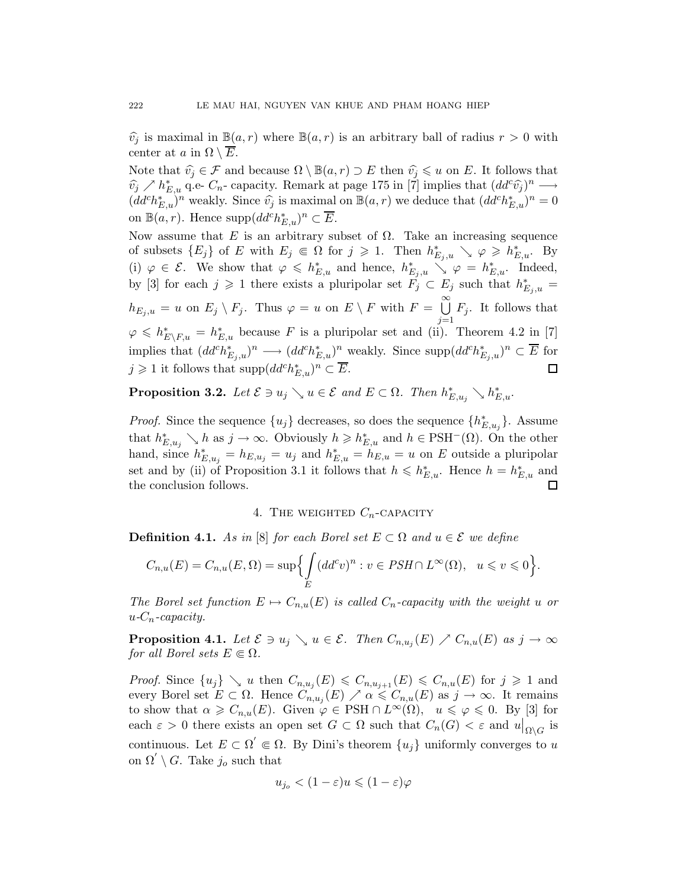$\hat{v}_i$  is maximal in  $\mathbb{B}(a, r)$  where  $\mathbb{B}(a, r)$  is an arbitrary ball of radius  $r > 0$  with center at a in  $\Omega \setminus E$ .

Note that  $\hat{v}_j \in \mathcal{F}$  and because  $\Omega \setminus \mathbb{B}(a, r) \supset E$  then  $\hat{v}_j \leq u$  on E. It follows that  $\widehat{v}_j \nearrow h_{E,u}^*$  q.e.  $C_n$ - capacity. Remark at page 175 in [7] implies that  $(dd^c \widehat{v}_j)^n \longrightarrow$  $(dd^ch_{E,u}^*)^n$  weakly. Since  $\widehat{v}_j$  is maximal on  $\mathbb{B}(a,r)$  we deduce that  $(dd^ch_{E,u}^*)^n=0$ on  $\mathbb{B}(a,r)$ . Hence  $\text{supp}(dd^c h_{E,u}^*)^n \subset \overline{E}$ .

Now assume that E is an arbitrary subset of  $\Omega$ . Take an increasing sequence of subsets  $\{E_j\}$  of E with  $E_j \in \Omega$  for  $j \geq 1$ . Then  $h_{E_j,u}^* \searrow \varphi \geq h_{E,u}^*$ . By (i)  $\varphi \in \mathcal{E}$ . We show that  $\varphi \leq h_{E,u}^*$  and hence,  $h_{E_j,u}^* \searrow \varphi = h_{E,u}^*$ . Indeed, by [3] for each  $j \geq 1$  there exists a pluripolar set  $F_j \subset E_j$  such that  $h_{E_j,u}^* =$  $h_{E_j,u} = u$  on  $E_j \setminus F_j$ . Thus  $\varphi = u$  on  $E \setminus F$  with  $F = \bigcup_{i=1}^{\infty}$  $F_j$ . It follows that  $j=1$  $\varphi \leq h_{E\setminus F,u}^* = h_{E,u}^*$  because F is a pluripolar set and (ii). Theorem 4.2 in [7] implies that  $(dd^ch^*_{E_j,u})^n \longrightarrow (dd^ch^*_{E,u})^n$  weakly. Since  $\text{supp}(dd^ch^*_{E_j,u})^n \subset \overline{E}$  for  $j \geqslant 1$  it follows that  $\text{supp}(dd^c h_{E,u}^*)^n \subset \overline{E}$ . □

**Proposition 3.2.** *Let*  $\mathcal{E} \ni u_j \setminus u \in \mathcal{E}$  *and*  $E \subset \Omega$ *. Then*  $h_{E,u_j}^* \setminus h_{E,u}^*$ .

*Proof.* Since the sequence  $\{u_j\}$  decreases, so does the sequence  $\{h_{E,u_j}^*\}$ . Assume that  $h_{E,u_j}^* \setminus h$  as  $j \to \infty$ . Obviously  $h \geq h_{E,u}^*$  and  $h \in PSH^{-}(\Omega)$ . On the other hand, since  $h_{E,u_j}^* = h_{E,u_j} = u_j$  and  $h_{E,u}^* = h_{E,u} = u$  on E outside a pluripolar set and by (ii) of Proposition 3.1 it follows that  $h \leq h_{E,u}^*$ . Hence  $h = h_{E,u}^*$  and the conclusion follows. П

### 4. THE WEIGHTED  $C_n$ -CAPACITY

**Definition 4.1.** *As in* [8] *for each Borel set*  $E \subset \Omega$  *and*  $u \in \mathcal{E}$  *we define* 

$$
C_{n,u}(E) = C_{n,u}(E,\Omega) = \sup \Biggl\{ \int\limits_{E} (dd^c v)^n : v \in PSH \cap L^{\infty}(\Omega), \ u \leqslant v \leqslant 0 \Biggr\}.
$$

*The Borel set function*  $E \mapsto C_{n,u}(E)$  *is called*  $C_n$ -capacity with the weight u or u*-*Cn*-capacity.*

**Proposition 4.1.** *Let*  $\mathcal{E} \ni u_j \setminus u \in \mathcal{E}$ *. Then*  $C_{n,u_i}(E) \nearrow C_{n,u}(E)$  *as*  $j \to \infty$ *for all Borel sets*  $E \in \Omega$ *.* 

*Proof.* Since  $\{u_j\} \setminus u$  then  $C_{n,u_j}(E) \leqslant C_{n,u_{j+1}}(E) \leqslant C_{n,u}(E)$  for  $j \geqslant 1$  and every Borel set  $E \subset \Omega$ . Hence  $C_{n,u_j}(E) \nearrow \alpha \leqslant C_{n,u}(E)$  as  $j \to \infty$ . It remains to show that  $\alpha \geq C_{n,u}(E)$ . Given  $\varphi \in \text{PSH} \cap L^{\infty}(\Omega)$ ,  $u \leq \varphi \leq 0$ . By [3] for each  $\varepsilon > 0$  there exists an open set  $G \subset \Omega$  such that  $C_n(G) < \varepsilon$  and  $u|_{\Omega \backslash G}$  is continuous. Let  $E \subset \Omega' \Subset \Omega$ . By Dini's theorem  $\{u_j\}$  uniformly converges to u on  $\Omega' \setminus G$ . Take  $j_o$  such that

$$
u_{j_o} < (1-\varepsilon)u \leqslant (1-\varepsilon)\varphi
$$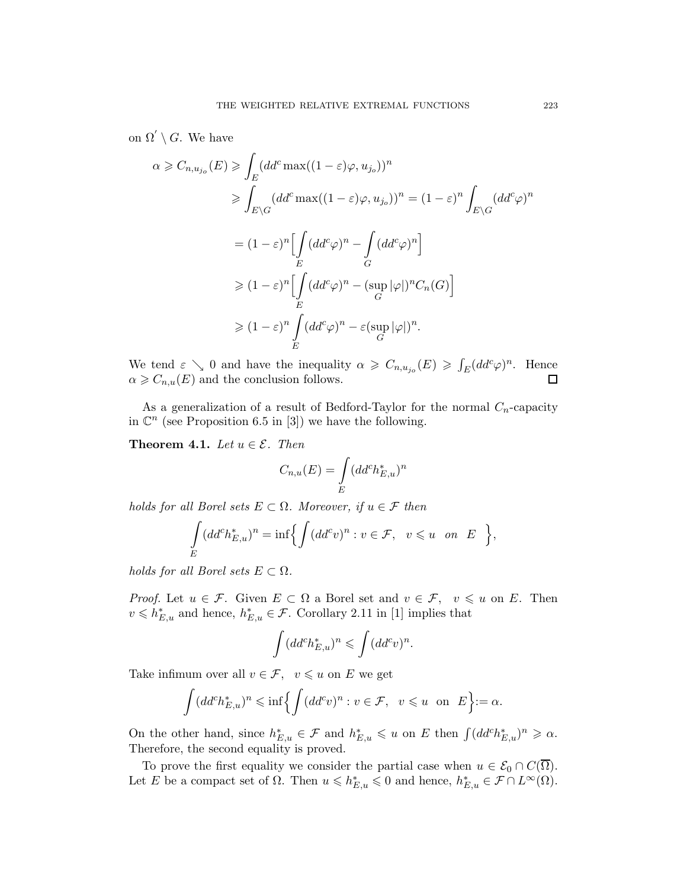on  $\Omega' \setminus G$ . We have

$$
\alpha \geq C_{n,u_{jo}}(E) \geq \int_{E} (dd^c \max((1-\varepsilon)\varphi, u_{jo}))^n
$$
  
\n
$$
\geq \int_{E \backslash G} (dd^c \max((1-\varepsilon)\varphi, u_{jo}))^n = (1-\varepsilon)^n \int_{E \backslash G} (dd^c \varphi)^n
$$
  
\n
$$
= (1-\varepsilon)^n \Big[ \int_{E} (dd^c \varphi)^n - \int_{G} (dd^c \varphi)^n \Big]
$$
  
\n
$$
\geq (1-\varepsilon)^n \Big[ \int_{E} (dd^c \varphi)^n - (\sup_{G} |\varphi|)^n C_n(G) \Big]
$$
  
\n
$$
\geq (1-\varepsilon)^n \int_{E} (dd^c \varphi)^n - \varepsilon (\sup_{G} |\varphi|)^n.
$$

We tend  $\varepsilon \searrow 0$  and have the inequality  $\alpha \geqslant C_{n,u_{j_o}}(E) \geqslant \int_E (dd^c \varphi)^n$ . Hence  $\alpha \geq C_{n,u}(E)$  and the conclusion follows. 口

As a generalization of a result of Bedford-Taylor for the normal  $C_n$ -capacity in  $\mathbb{C}^n$  (see Proposition 6.5 in [3]) we have the following.

**Theorem 4.1.** *Let*  $u \in \mathcal{E}$ *. Then* 

$$
C_{n,u}(E) = \int\limits_{E} (dd^c h_{E,u}^*)^n
$$

*holds for all Borel sets*  $E \subset \Omega$ *. Moreover, if*  $u \in \mathcal{F}$  *then* 

$$
\int\limits_{E} (dd^c h_{E,u}^*)^n = \inf \Biggl\{ \int (dd^c v)^n : v \in \mathcal{F}, \ v \leqslant u \ \text{on} \ E \Biggr\},\
$$

*holds for all Borel sets*  $E \subset \Omega$ *.* 

*Proof.* Let  $u \in \mathcal{F}$ . Given  $E \subset \Omega$  a Borel set and  $v \in \mathcal{F}$ ,  $v \leq u$  on E. Then  $v \leq h_{E,u}^*$  and hence,  $h_{E,u}^* \in \mathcal{F}$ . Corollary 2.11 in [1] implies that

$$
\int (dd^c h_{E,u}^*)^n \leqslant \int (dd^c v)^n.
$$

Take infimum over all  $v \in \mathcal{F}$ ,  $v \leq u$  on E we get

$$
\int (dd^c h_{E,u}^*)^n \leq \inf \left\{ \int (dd^c v)^n : v \in \mathcal{F}, \ v \leq u \text{ on } E \right\} := \alpha.
$$

On the other hand, since  $h_{E,u}^* \in \mathcal{F}$  and  $h_{E,u}^* \leq u$  on E then  $\int (dd^c h_{E,u}^*)^n \geq \alpha$ . Therefore, the second equality is proved.

To prove the first equality we consider the partial case when  $u \in \mathcal{E}_0 \cap C(\overline{\Omega})$ . Let E be a compact set of  $\Omega$ . Then  $u \leqslant h_{E,u}^* \leqslant 0$  and hence,  $h_{E,u}^* \in \mathcal{F} \cap L^{\infty}(\Omega)$ .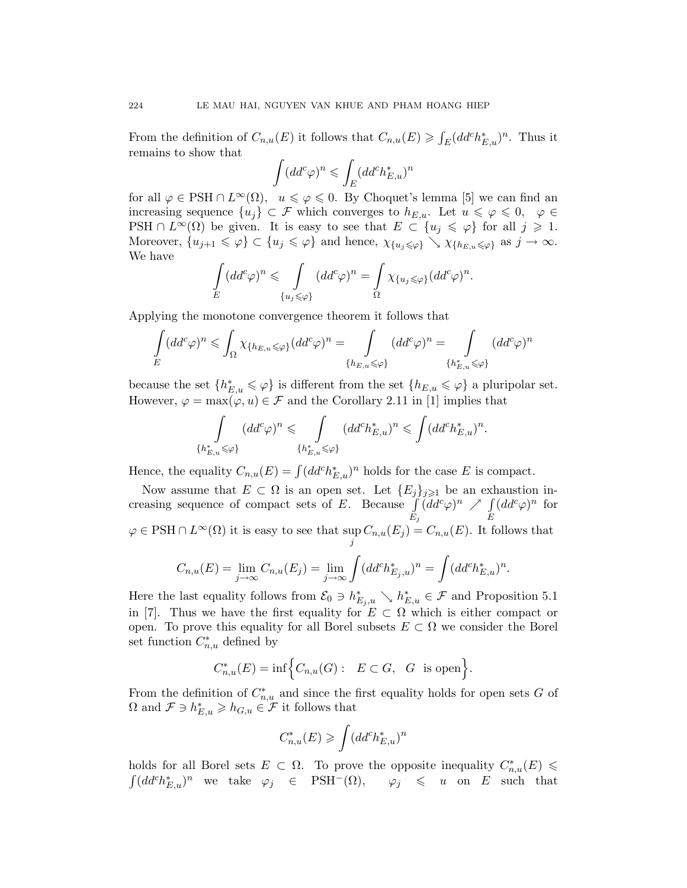From the definition of  $C_{n,u}(E)$  it follows that  $C_{n,u}(E) \geq \int_E (dd^c h_{E,u}^*)^n$ . Thus it remains to show that

$$
\int (dd^c \varphi)^n \leqslant \int_E (dd^c h_{E,u}^*)^n
$$

for all  $\varphi \in \text{PSH} \cap L^{\infty}(\Omega)$ ,  $u \leq \varphi \leq 0$ . By Choquet's lemma [5] we can find an increasing sequence  $\{u_j\} \subset \mathcal{F}$  which converges to  $h_{E,u}$ . Let  $u \leq \varphi \leq 0$ ,  $\varphi \in \mathcal{F}$ PSH  $\cap L^{\infty}(\Omega)$  be given. It is easy to see that  $E \subset \{u_j \leq \varphi\}$  for all  $j \geq 1$ . Moreover,  $\{u_{j+1} \leq \varphi\} \subset \{u_j \leq \varphi\}$  and hence,  $\chi_{\{u_j \leq \varphi\}} \searrow \chi_{\{h_{E,u} \leq \varphi\}}$  as  $j \to \infty$ . We have

$$
\int_{E} (dd^{c}\varphi)^{n} \leq \int_{\{u_{j} \leq \varphi\}} (dd^{c}\varphi)^{n} = \int_{\Omega} \chi_{\{u_{j} \leq \varphi\}} (dd^{c}\varphi)^{n}.
$$

Applying the monotone convergence theorem it follows that

$$
\int_{E} (dd^{c}\varphi)^{n} \leq \int_{\Omega} \chi_{\{h_{E,u} \leq \varphi\}} (dd^{c}\varphi)^{n} = \int_{\{h_{E,u} \leq \varphi\}} (dd^{c}\varphi)^{n} = \int_{\{h_{E,u}^{*} \leq \varphi\}} (dd^{c}\varphi)^{n}
$$

because the set  $\{h_{E,u}^*\leqslant \varphi\}$  is different from the set  $\{h_{E,u}\leqslant \varphi\}$  a pluripolar set. However,  $\varphi = \max(\varphi, u) \in \mathcal{F}$  and the Corollary 2.11 in [1] implies that

$$
\int\limits_{\{h_{E,u}^*\leqslant \varphi\}}(dd^c \varphi)^n\leqslant \int\limits_{\{h_{E,u}^*\leqslant \varphi\}}(dd^ch_{E,u}^*)^n\leqslant \int (dd^ch_{E,u}^*)^n.
$$

Hence, the equality  $C_{n,u}(E) = \int (dd^c h_{E,u}^*)^n$  holds for the case E is compact.

Now assume that  $E \subset \Omega$  is an open set. Let  $\{E_j\}_{j\geqslant 1}$  be an exhaustion increasing sequence of compact sets of  $E$ . Because  $E_j$  $\begin{bmatrix} \n\sqrt{d} & \downarrow \\
\frac{d}{d} & \varphi\n\end{bmatrix}^n$ E  $(dd^c\varphi)^n$  for  $\varphi \in \mathrm{PSH} \cap L^\infty(\Omega)$  it is easy to see that sup  $\sup_j C_{n,u}(E_j) = C_{n,u}(E)$ . It follows that

$$
C_{n,u}(E) = \lim_{j \to \infty} C_{n,u}(E_j) = \lim_{j \to \infty} \int (dd^c h_{E_j, u}^*)^n = \int (dd^c h_{E, u}^*)^n.
$$

Here the last equality follows from  $\mathcal{E}_0 \ni h_{E_j,u}^* \searrow h_{E,u}^* \in \mathcal{F}$  and Proposition 5.1 in [7]. Thus we have the first equality for  $E \subset \Omega$  which is either compact or open. To prove this equality for all Borel subsets  $E \subset \Omega$  we consider the Borel set function  $C_{n,u}^*$  defined by

$$
C_{n,u}^*(E) = \inf \Big\{ C_{n,u}(G): E \subset G, G \text{ is open} \Big\}.
$$

From the definition of  $C_{n,u}^*$  and since the first equality holds for open sets G of  $\Omega$  and  $\mathcal{F} \ni h_{E,u}^* \geqslant h_{G,u} \in \mathcal{F}$  it follows that

$$
C_{n,u}^*(E) \geqslant \int (dd^c h_{E,u}^*)^n
$$

holds for all Borel sets  $E \subset \Omega$ . To prove the opposite inequality  $C_{n,u}^*(E) \leq$  $\int (dd^c h_{E,u}^*)^n$  we take  $\varphi_j \in \text{PSH}^-(\Omega)$ ,  $\varphi_j \leq u$  on E such that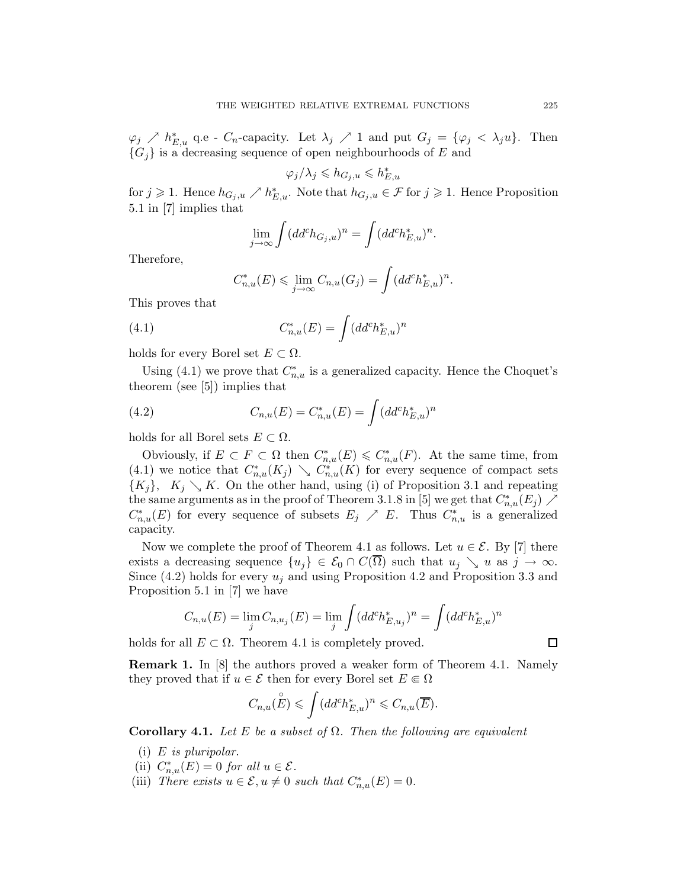$\varphi_j \nearrow h_{E,u}^*$  q.e -  $C_n$ -capacity. Let  $\lambda_j \nearrow 1$  and put  $G_j = {\varphi_j \lt \lambda_j u}$ . Then  ${G<sub>i</sub>}$  is a decreasing sequence of open neighbourhoods of E and

$$
\varphi_j/\lambda_j \leqslant h_{G_j,u} \leqslant h_{E,u}^*
$$

for  $j \geq 1$ . Hence  $h_{G_j,u} \nearrow h_{E,u}^*$ . Note that  $h_{G_j,u} \in \mathcal{F}$  for  $j \geq 1$ . Hence Proposition 5.1 in [7] implies that

$$
\lim_{j\to\infty}\int (dd^ch_{G_j,u})^n=\int (dd^ch_{E,u}^*)_n.
$$

Therefore,

$$
C_{n,u}^*(E) \leq \lim_{j \to \infty} C_{n,u}(G_j) = \int (dd^c h_{E,u}^*)^n.
$$

This proves that

(4.1) 
$$
C_{n,u}^*(E) = \int (dd^c h_{E,u}^*)^n
$$

holds for every Borel set  $E \subset \Omega$ .

Using (4.1) we prove that  $C_{n,u}^*$  is a generalized capacity. Hence the Choquet's theorem (see [5]) implies that

(4.2) 
$$
C_{n,u}(E) = C_{n,u}^*(E) = \int (dd^c h_{E,u}^*)^n
$$

holds for all Borel sets  $E \subset \Omega$ .

Obviously, if  $E \subset F \subset \Omega$  then  $C_{n,u}^*(E) \leqslant C_{n,u}^*(F)$ . At the same time, from (4.1) we notice that  $C_{n,u}^*(K_j) \searrow C_{n,u}^*(K)$  for every sequence of compact sets  $\{K_j\}, K_j \searrow K$ . On the other hand, using (i) of Proposition 3.1 and repeating the same arguments as in the proof of Theorem 3.1.8 in [5] we get that  $C_{n,u}^*(E_j) \nearrow$  $C_{n,u}^*(E)$  for every sequence of subsets  $E_j \nearrow E$ . Thus  $C_{n,u}^*$  is a generalized capacity.

Now we complete the proof of Theorem 4.1 as follows. Let  $u \in \mathcal{E}$ . By [7] there exists a decreasing sequence  $\{u_j\} \in \mathcal{E}_0 \cap C(\overline{\Omega})$  such that  $u_j \searrow u$  as  $j \to \infty$ . Since  $(4.2)$  holds for every  $u_i$  and using Proposition 4.2 and Proposition 3.3 and Proposition 5.1 in [7] we have

$$
C_{n,u}(E) = \lim_{j} C_{n,u_j}(E) = \lim_{j} \int (dd^c h_{E,u_j}^*)^n = \int (dd^c h_{E,u}^*)^n
$$

holds for all  $E \subset \Omega$ . Theorem 4.1 is completely proved.

**Remark 1.** In [8] the authors proved a weaker form of Theorem 4.1. Namely they proved that if  $u \in \mathcal{E}$  then for every Borel set  $E \in \Omega$ 

$$
C_{n,u}(\overset{\circ}{E}) \leqslant \int (dd^c h_{E,u}^*)^n \leqslant C_{n,u}(\overline{E}).
$$

**Corollary 4.1.** *Let* E *be a subset of* Ω*. Then the following are equivalent*

- (i) E *is pluripolar.*
- (ii)  $C_{n,u}^*(E) = 0$  *for all*  $u \in \mathcal{E}$ *.*
- (iii) *There exists*  $u \in \mathcal{E}, u \neq 0$  *such that*  $C_{n,u}^*(E) = 0$ *.*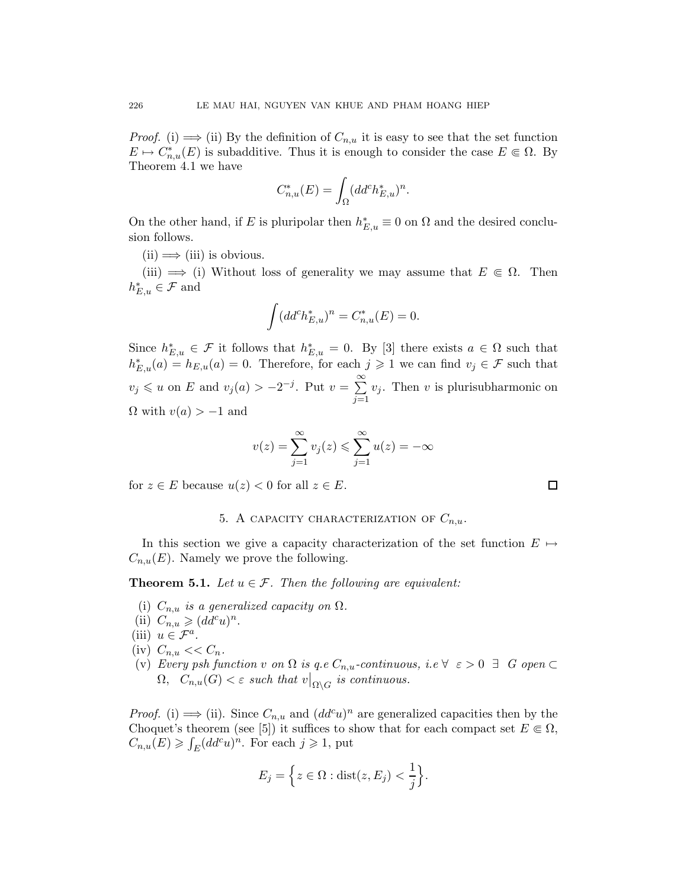*Proof.* (i)  $\implies$  (ii) By the definition of  $C_{n,u}$  it is easy to see that the set function  $E \mapsto C_{n,u}^*(E)$  is subadditive. Thus it is enough to consider the case  $E \in \Omega$ . By Theorem 4.1 we have

$$
C_{n,u}^*(E) = \int_{\Omega} (dd^c h_{E,u}^*)^n.
$$

On the other hand, if E is pluripolar then  $h_{E,u}^* \equiv 0$  on  $\Omega$  and the desired conclusion follows.

 $(ii) \Longrightarrow (iii)$  is obvious.

(iii)  $\implies$  (i) Without loss of generality we may assume that  $E \in \Omega$ . Then  $h_{E,u}^* \in \mathcal{F}$  and

$$
\int (dd^c h_{E,u}^*)^n = C_{n,u}^*(E) = 0.
$$

Since  $h_{E,u}^* \in \mathcal{F}$  it follows that  $h_{E,u}^* = 0$ . By [3] there exists  $a \in \Omega$  such that  $h_{E,u}^{*}(a) = h_{E,u}(a) = 0$ . Therefore, for each  $j \geq 1$  we can find  $v_j \in \mathcal{F}$  such that  $v_j \leq u$  on E and  $v_j(a) > -2^{-j}$ . Put  $v = \sum_{i=1}^{\infty}$  $j=1$  $v_j$ . Then v is plurisubharmonic on  $\Omega$  with  $v(a) > -1$  and

$$
v(z) = \sum_{j=1}^{\infty} v_j(z) \leqslant \sum_{j=1}^{\infty} u(z) = -\infty
$$

for  $z \in E$  because  $u(z) < 0$  for all  $z \in E$ .

#### 5. A CAPACITY CHARACTERIZATION OF  $C_{n,u}$ .

In this section we give a capacity characterization of the set function  $E \mapsto$  $C_{n,u}(E)$ . Namely we prove the following.

**Theorem 5.1.** *Let*  $u \in \mathcal{F}$ *. Then the following are equivalent:* 

- (i)  $C_{n,u}$  *is a generalized capacity on*  $\Omega$ *.*
- (ii)  $C_{n,u} \geqslant (dd^c u)^n$ .
- (iii)  $u \in \mathcal{F}^a$ .
- (iv)  $C_{n,u} \ll C_n$ .
- (v) *Every psh function* v on  $\Omega$  *is q.e*  $C_{n,u}$ -continuous, *i.e*  $\forall \varepsilon > 0 \exists G$  open  $\Omega, \quad C_{n,u}(G) < \varepsilon$  such that  $v|_{\Omega \backslash G}$  is continuous.

*Proof.* (i)  $\implies$  (ii). Since  $C_{n,u}$  and  $(dd^c u)^n$  are generalized capacities then by the Choquet's theorem (see [5]) it suffices to show that for each compact set  $E \in \Omega$ ,  $C_{n,u}(E) \geqslant \int_E (dd^c u)^n$ . For each  $j \geqslant 1$ , put

$$
E_j = \left\{ z \in \Omega : \text{dist}(z, E_j) < \frac{1}{j} \right\}.
$$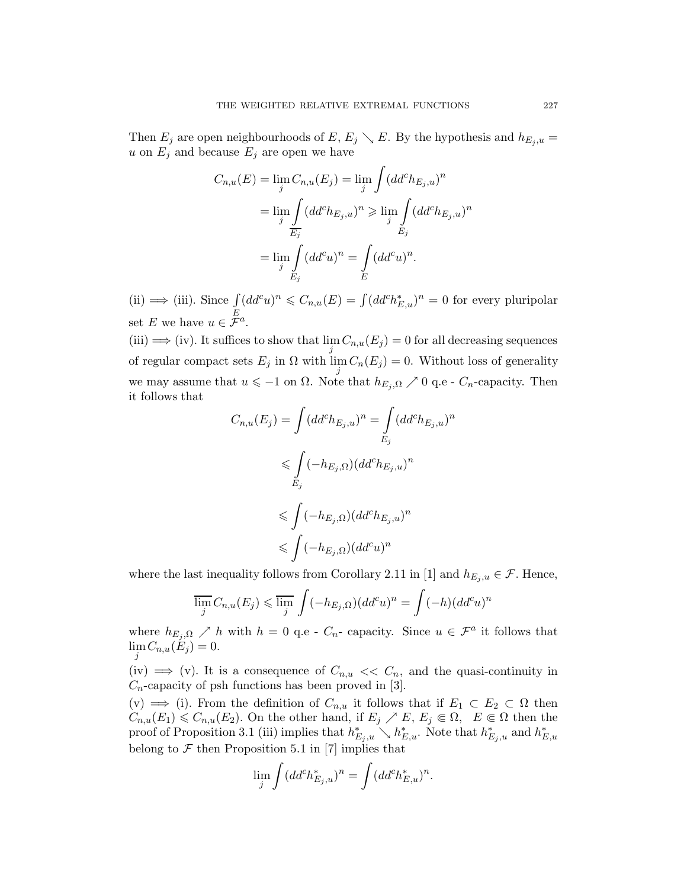Then  $E_j$  are open neighbourhoods of  $E, E_j \searrow E$ . By the hypothesis and  $h_{E_j, u} =$ u on  $E_j$  and because  $E_j$  are open we have

$$
C_{n,u}(E) = \lim_{j} C_{n,u}(E_j) = \lim_{j} \int (dd^c h_{E_j, u})^n
$$
  
= 
$$
\lim_{j} \int_{\overline{E_j}} (dd^c h_{E_j, u})^n \ge \lim_{j} \int_{E_j} (dd^c h_{E_j, u})^n
$$
  
= 
$$
\lim_{j} \int_{E_j} (dd^c u)^n = \int_{E} (dd^c u)^n.
$$

(ii)  $\implies$  (iii). Since  $\int (dd^c u)^n \leq C_{n,u}(E) = \int (dd^c h_{E,u}^*)^n = 0$  for every pluripolar set E we have  $u \in \mathcal{F}^a$ .

(iii)  $\implies$  (iv). It suffices to show that  $\lim C_{n,u}(E_j) = 0$  for all decreasing sequences j of regular compact sets  $E_j$  in  $\Omega$  with  $\lim_{j} C_n(E_j) = 0$ . Without loss of generality we may assume that  $u \leq -1$  on  $\Omega$ . Note that  $h_{E_i,\Omega} \nearrow 0$  q.e -  $C_n$ -capacity. Then it follows that

$$
C_{n,u}(E_j) = \int (dd^c h_{E_j,u})^n = \int (dd^c h_{E_j,u})^n
$$
  
\n
$$
\leq \int_{E_j} (-h_{E_j,\Omega})(dd^c h_{E_j,u})^n
$$
  
\n
$$
\leq \int (-h_{E_j,\Omega})(dd^c h_{E_j,u})^n
$$
  
\n
$$
\leq \int (-h_{E_j,\Omega})(dd^c u)^n
$$

where the last inequality follows from Corollary 2.11 in [1] and  $h_{E_i,u} \in \mathcal{F}$ . Hence,

$$
\overline{\lim_{j}} C_{n,u}(E_j) \leq \overline{\lim_{j}} \int (-h_{E_j,\Omega})(dd^c u)^n = \int (-h)(dd^c u)^n
$$

where  $h_{E_i,\Omega} \nearrow h$  with  $h = 0$  q.e -  $C_n$ - capacity. Since  $u \in \mathcal{F}^a$  it follows that  $\lim_{j} C_{n,u}(E_j) = 0.$ 

(iv)  $\implies$  (v). It is a consequence of  $C_{n,u}$  <<  $C_n$ , and the quasi-continuity in  $C_n$ -capacity of psh functions has been proved in [3].

 $(v) \implies (i)$ . From the definition of  $C_{n,u}$  it follows that if  $E_1 \subset E_2 \subset \Omega$  then  $C_{n,u}(E_1) \leqslant C_{n,u}(E_2)$ . On the other hand, if  $E_j \nearrow E, E_j \in \Omega$ ,  $E \in \Omega$  then the proof of Proposition 3.1 (iii) implies that  $h_{E_j,u}^* \searrow h_{E,u}^*$ . Note that  $h_{E_j,u}^*$  and  $h_{E,u}^*$ belong to  $\mathcal F$  then Proposition 5.1 in [7] implies that

$$
\lim_j\int(dd^ch^*_{E_j,u})^n=\int(dd^ch^*_{E,u})^n.
$$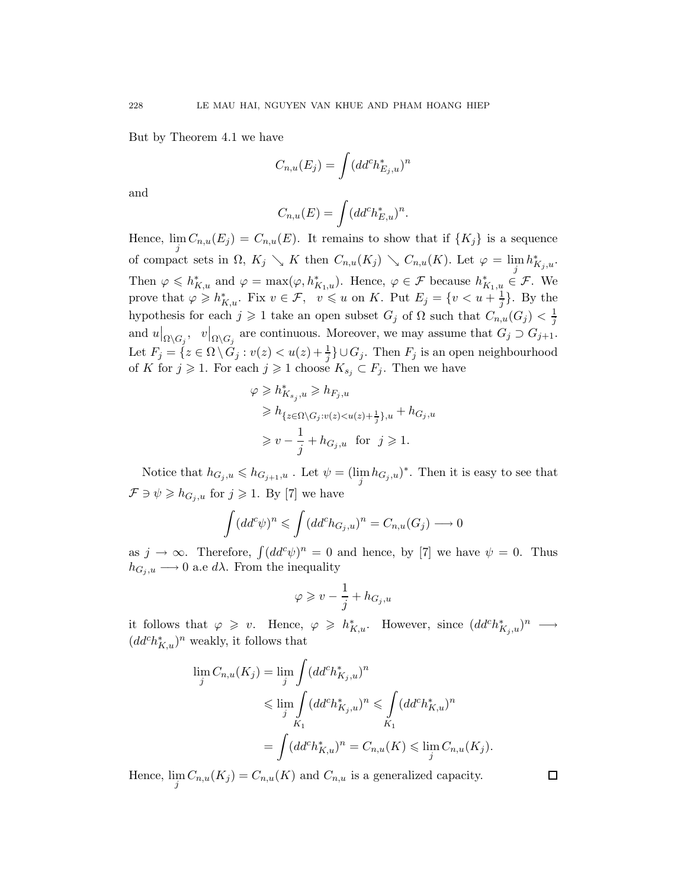But by Theorem 4.1 we have

$$
C_{n,u}(E_j) = \int (dd^c h_{E_j,u}^*)^n
$$

and

$$
C_{n,u}(E) = \int (dd^c h_{E,u}^*)^n.
$$

Hence,  $\lim_{j} C_{n,u}(E_j) = C_{n,u}(E)$ . It remains to show that if  $\{K_j\}$  is a sequence of compact sets in  $\Omega$ ,  $K_j \searrow K$  then  $C_{n,u}(K_j) \searrow C_{n,u}(K)$ . Let  $\varphi = \lim_j h^*_{K_j,u}$ . Then  $\varphi \leq h_{K,u}^*$  and  $\varphi = \max(\varphi, h_{K_1,u}^*)$ . Hence,  $\varphi \in \mathcal{F}$  because  $h_{K_1,u}^* \in \mathcal{F}$ . We prove that  $\varphi \geqslant h_{K,u}^*$ . Fix  $v \in \mathcal{F}$ ,  $v \leqslant u$  on K. Put  $E_j = \{v < u + \frac{1}{j}\}$ . By the hypothesis for each  $j \geqslant 1$  take an open subset  $G_j$  of  $\Omega$  such that  $C_{n,u}(G_j) < \frac{1}{j}$ and  $u|_{\Omega\setminus G_j}$ ,  $v|_{\Omega\setminus G_j}$  are continuous. Moreover, we may assume that  $G_j \supset G_{j+1}$ . Let  $F_j = \{z \in \Omega \setminus G_j : v(z) < u(z) + \frac{1}{j}\} \cup G_j$ . Then  $F_j$  is an open neighbourhood of K for  $j \geqslant 1$ . For each  $j \geqslant 1$  choose  $K_{s_j} \subset F_j$ . Then we have

$$
\varphi \geq h_{K_{s_j},u}^* \geq h_{F_j,u}
$$
  
\n
$$
\geq h_{\{z \in \Omega \setminus G_j : v(z) < u(z) + \frac{1}{j}\}, u} + h_{G_j,u}
$$
  
\n
$$
\geq v - \frac{1}{j} + h_{G_j,u} \quad \text{for} \quad j \geq 1.
$$

Notice that  $h_{G_j,u} \leqslant h_{G_{j+1},u}$ . Let  $\psi = (\lim_j h_{G_j,u})^*$ . Then it is easy to see that  $\mathcal{F} \ni \psi \geqslant h_{G_i,u}$  for  $j \geqslant 1$ . By [7] we have

$$
\int (dd^c \psi)^n \leqslant \int (dd^c h_{G_j, u})^n = C_{n, u}(G_j) \longrightarrow 0
$$

as  $j \to \infty$ . Therefore,  $\int (dd^c \psi)^n = 0$  and hence, by [7] we have  $\psi = 0$ . Thus  $h_{G_i, u} \longrightarrow 0$  a.e d $\lambda$ . From the inequality

$$
\varphi \geqslant v-\frac{1}{j}+h_{G_j,u}
$$

it follows that  $\varphi \geq v$ . Hence,  $\varphi \geq h_{K,u}^*$ . However, since  $(dd^c h_{K_j,u}^*)^n \longrightarrow$  $(dd^ch_{K,u}^*)^n$  weakly, it follows that

$$
\lim_{j} C_{n,u}(K_j) = \lim_{j} \int (dd^c h_{K_j,u}^*)^n
$$
  
\n
$$
\leq \lim_{j} \int_{K_1} (dd^c h_{K_j,u}^*)^n \leq \int_{K_1} (dd^c h_{K,u}^*)^n
$$
  
\n
$$
= \int (dd^c h_{K,u}^*)^n = C_{n,u}(K) \leq \lim_{j} C_{n,u}(K_j).
$$

Hence,  $\lim_{j} C_{n,u}(K_j) = C_{n,u}(K)$  and  $C_{n,u}$  is a generalized capacity.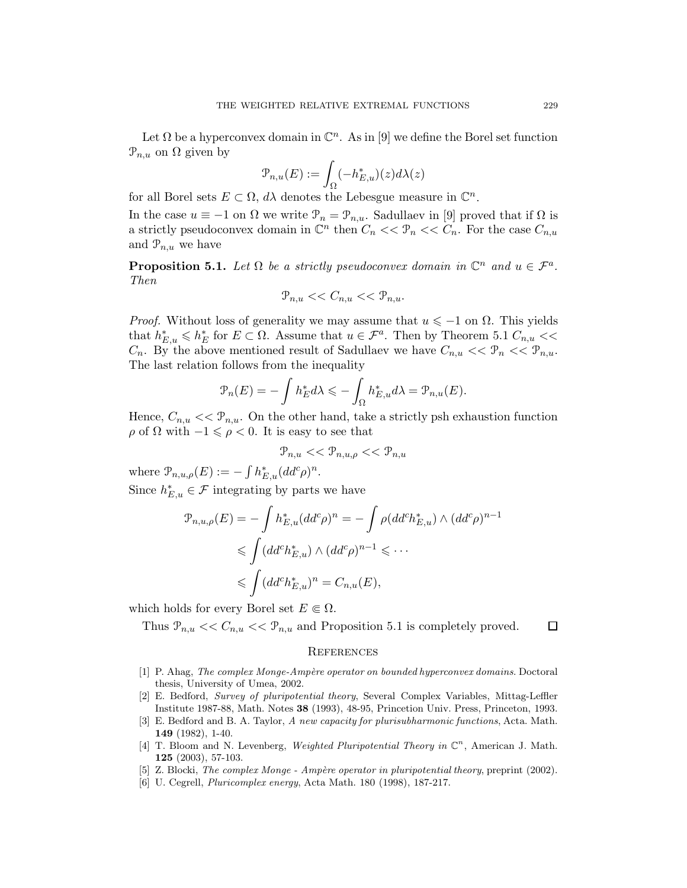Let  $\Omega$  be a hyperconvex domain in  $\mathbb{C}^n$ . As in [9] we define the Borel set function  $\mathcal{P}_{n,u}$  on  $\Omega$  given by

$$
\mathcal{P}_{n,u}(E) := \int_{\Omega} (-h_{E,u}^*)(z) d\lambda(z)
$$

for all Borel sets  $E \subset \Omega$ ,  $d\lambda$  denotes the Lebesgue measure in  $\mathbb{C}^n$ .

In the case  $u \equiv -1$  on  $\Omega$  we write  $\mathcal{P}_n = \mathcal{P}_{n,u}$ . Sadullaev in [9] proved that if  $\Omega$  is a strictly pseudoconvex domain in  $\mathbb{C}^n$  then  $C_n \ll \mathcal{P}_n \ll C_n$ . For the case  $C_{n,u}$ and  $\mathcal{P}_{n,u}$  we have

**Proposition 5.1.** *Let*  $\Omega$  *be a strictly pseudoconvex domain in*  $\mathbb{C}^n$  *and*  $u \in \mathcal{F}^a$ *. Then*

$$
\mathcal{P}_{n,u}<< C_{n,u}<< \mathcal{P}_{n,u}.
$$

*Proof.* Without loss of generality we may assume that  $u \leq -1$  on  $\Omega$ . This yields that  $h_{E,u}^* \leqslant h_E^*$  for  $E \subset \Omega$ . Assume that  $u \in \mathcal{F}^a$ . Then by Theorem 5.1  $C_{n,u}$  <<  $C_n$ . By the above mentioned result of Sadullaev we have  $C_{n,u} \ll \mathcal{P}_n \ll \mathcal{P}_{n,u}$ . The last relation follows from the inequality

$$
\mathcal{P}_n(E) = -\int h_E^* d\lambda \leqslant -\int_{\Omega} h_{E,u}^* d\lambda = \mathcal{P}_{n,u}(E).
$$

Hence,  $C_{n,u} \ll \mathcal{P}_{n,u}$ . On the other hand, take a strictly psh exhaustion function  $\rho$  of  $\Omega$  with  $-1 \leq \rho < 0$ . It is easy to see that

$$
\mathcal{P}_{n,u}<<\mathcal{P}_{n,u,\rho}<<\mathcal{P}_{n,u}
$$

where  $\mathcal{P}_{n,u,\rho}(E) := - \int h_{E,u}^*(dd^c \rho)^n$ . Since  $h_{E,u}^* \in \mathcal{F}$  integrating by parts we have

$$
\mathcal{P}_{n,u,\rho}(E) = -\int h_{E,u}^*(dd^c \rho)^n = -\int \rho(dd^c h_{E,u}^*) \wedge (dd^c \rho)^{n-1}
$$
  

$$
\leqslant \int (dd^c h_{E,u}^*) \wedge (dd^c \rho)^{n-1} \leqslant \cdots
$$
  

$$
\leqslant \int (dd^c h_{E,u}^*)^n = C_{n,u}(E),
$$

which holds for every Borel set  $E \in \Omega$ .

Thus  $\mathcal{P}_{n,u} \ll C_{n,u} \ll \mathcal{P}_{n,u}$  and Proposition 5.1 is completely proved.

# **REFERENCES**

- [1] P. Ahag, *The complex Monge-Amp`ere operator on bounded hyperconvex domains*. Doctoral thesis, University of Umea, 2002.
- [2] E. Bedford, *Survey of pluripotential theory*, Several Complex Variables, Mittag-Leffler Institute 1987-88, Math. Notes **38** (1993), 48-95, Princetion Univ. Press, Princeton, 1993.
- [3] E. Bedford and B. A. Taylor, *A new capacity for plurisubharmonic functions*, Acta. Math. **149** (1982), 1-40.
- [4] T. Bloom and N. Levenberg, *Weighted Pluripotential Theory in*  $\mathbb{C}^n$ , American J. Math. **125** (2003), 57-103.
- [5] Z. Blocki, *The complex Monge Amp`ere operator in pluripotential theory*, preprint (2002).
- [6] U. Cegrell, *Pluricomplex energy*, Acta Math. 180 (1998), 187-217.